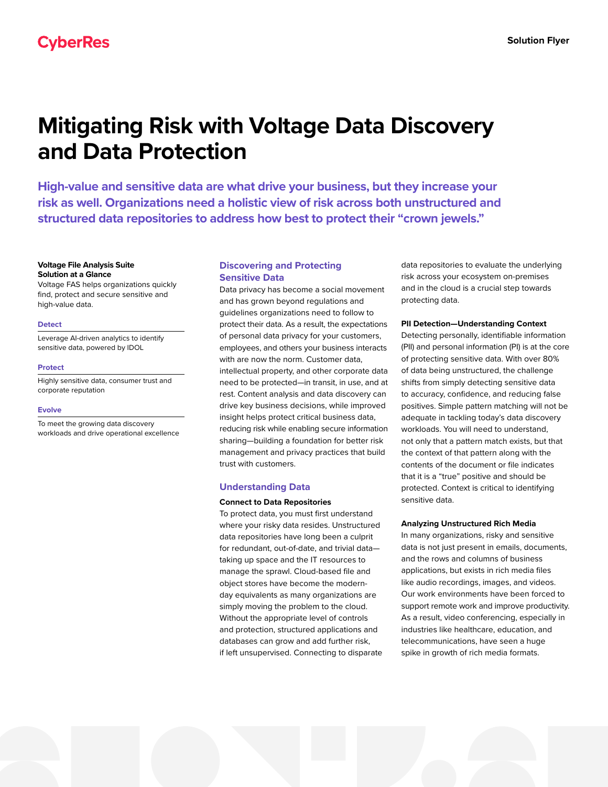# **Mitigating Risk with Voltage Data Discovery and Data Protection**

**High-value and sensitive data are what drive your business, but they increase your risk as well. Organizations need a holistic view of risk across both unstructured and structured data repositories to address how best to protect their "crown jewels."**

#### **Voltage File Analysis Suite Solution at a Glance**

Voltage FAS helps organizations quickly find, protect and secure sensitive and high-value data.

#### **Detect**

Leverage AI-driven analytics to identify sensitive data, powered by IDOL

#### **Protect**

Highly sensitive data, consumer trust and corporate reputation

#### **Evolve**

To meet the growing data discovery workloads and drive operational excellence

# **Discovering and Protecting Sensitive Data**

Data privacy has become a social movement and has grown beyond regulations and guidelines organizations need to follow to protect their data. As a result, the expectations of personal data privacy for your customers, employees, and others your business interacts with are now the norm. Customer data, intellectual property, and other corporate data need to be protected—in transit, in use, and at rest. Content analysis and data discovery can drive key business decisions, while improved insight helps protect critical business data, reducing risk while enabling secure information sharing—building a foundation for better risk management and privacy practices that build trust with customers.

#### **Understanding Data**

#### **Connect to Data Repositories**

To protect data, you must first understand where your risky data resides. Unstructured data repositories have long been a culprit for redundant, out-of-date, and trivial data taking up space and the IT resources to manage the sprawl. Cloud-based file and object stores have become the modernday equivalents as many organizations are simply moving the problem to the cloud. Without the appropriate level of controls and protection, structured applications and databases can grow and add further risk, if left unsupervised. Connecting to disparate data repositories to evaluate the underlying risk across your ecosystem on-premises and in the cloud is a crucial step towards protecting data.

#### **PII Detection—Understanding Context**

Detecting personally, identifiable information (PII) and personal information (PI) is at the core of protecting sensitive data. With over 80% of data being unstructured, the challenge shifts from simply detecting sensitive data to accuracy, confidence, and reducing false positives. Simple pattern matching will not be adequate in tackling today's data discovery workloads. You will need to understand, not only that a pattern match exists, but that the context of that pattern along with the contents of the document or file indicates that it is a "true" positive and should be protected. Context is critical to identifying sensitive data.

#### **Analyzing Unstructured Rich Media**

In many organizations, risky and sensitive data is not just present in emails, documents, and the rows and columns of business applications, but exists in rich media files like audio recordings, images, and videos. Our work environments have been forced to support remote work and improve productivity. As a result, video conferencing, especially in industries like healthcare, education, and telecommunications, have seen a huge spike in growth of rich media formats.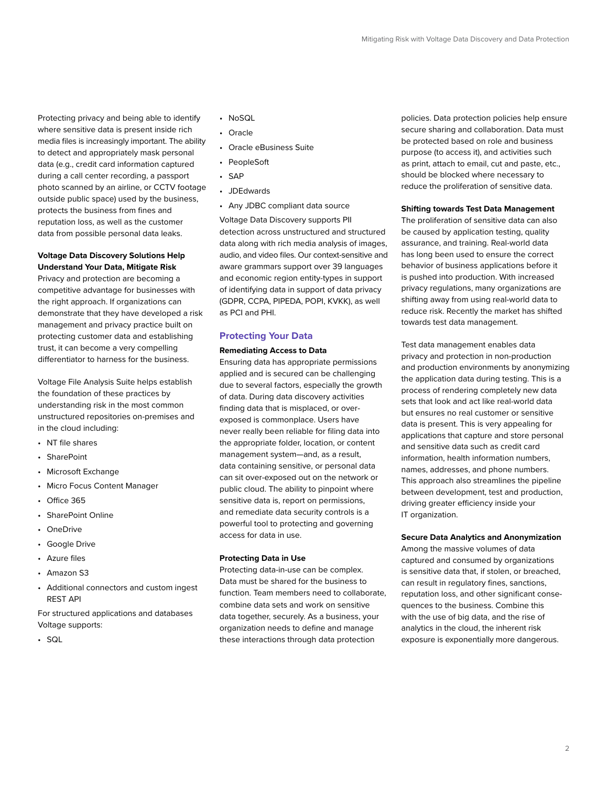Protecting privacy and being able to identify where sensitive data is present inside rich media files is increasingly important. The ability to detect and appropriately mask personal data (e.g., credit card information captured during a call center recording, a passport photo scanned by an airline, or CCTV footage outside public space) used by the business, protects the business from fines and reputation loss, as well as the customer data from possible personal data leaks.

# **Voltage Data Discovery Solutions Help Understand Your Data, Mitigate Risk**

Privacy and protection are becoming a competitive advantage for businesses with the right approach. If organizations can demonstrate that they have developed a risk management and privacy practice built on protecting customer data and establishing trust, it can become a very compelling differentiator to harness for the business.

Voltage File Analysis Suite helps establish the foundation of these practices by understanding risk in the most common unstructured repositories on-premises and in the cloud including:

- NT file shares
- SharePoint
- Microsoft Exchange
- Micro Focus Content Manager
- Office 365
- SharePoint Online
- OneDrive
- Google Drive
- Azure files
- Amazon S3
- Additional connectors and custom ingest REST API

For structured applications and databases Voltage supports:

 $\cdot$  SQL

- NoSQL
- Oracle
- Oracle eBusiness Suite
- PeopleSoft
- SAP
- JDEdwards
- Any JDBC compliant data source

Voltage Data Discovery supports PII detection across unstructured and structured data along with rich media analysis of images, audio, and video files. Our context-sensitive and aware grammars support over 39 languages and economic region entity-types in support of identifying data in support of data privacy (GDPR, CCPA, PIPEDA, POPI, KVKK), as well as PCI and PHI.

## **Protecting Your Data**

#### **Remediating Access to Data**

Ensuring data has appropriate permissions applied and is secured can be challenging due to several factors, especially the growth of data. During data discovery activities finding data that is misplaced, or overexposed is commonplace. Users have never really been reliable for filing data into the appropriate folder, location, or content management system—and, as a result, data containing sensitive, or personal data can sit over-exposed out on the network or public cloud. The ability to pinpoint where sensitive data is, report on permissions, and remediate data security controls is a powerful tool to protecting and governing access for data in use.

#### **Protecting Data in Use**

Protecting data-in-use can be complex. Data must be shared for the business to function. Team members need to collaborate, combine data sets and work on sensitive data together, securely. As a business, your organization needs to define and manage these interactions through data protection

policies. Data protection policies help ensure secure sharing and collaboration. Data must be protected based on role and business purpose (to access it), and activities such as print, attach to email, cut and paste, etc., should be blocked where necessary to reduce the proliferation of sensitive data.

#### **Shifting towards Test Data Management**

The proliferation of sensitive data can also be caused by application testing, quality assurance, and training. Real-world data has long been used to ensure the correct behavior of business applications before it is pushed into production. With increased privacy regulations, many organizations are shifting away from using real-world data to reduce risk. Recently the market has shifted towards test data management.

Test data management enables data privacy and protection in non-production and production environments by anonymizing the application data during testing. This is a process of rendering completely new data sets that look and act like real-world data but ensures no real customer or sensitive data is present. This is very appealing for applications that capture and store personal and sensitive data such as credit card information, health information numbers, names, addresses, and phone numbers. This approach also streamlines the pipeline between development, test and production, driving greater efficiency inside your IT organization.

#### **Secure Data Analytics and Anonymization**

Among the massive volumes of data captured and consumed by organizations is sensitive data that, if stolen, or breached, can result in regulatory fines, sanctions, reputation loss, and other significant consequences to the business. Combine this with the use of big data, and the rise of analytics in the cloud, the inherent risk exposure is exponentially more dangerous.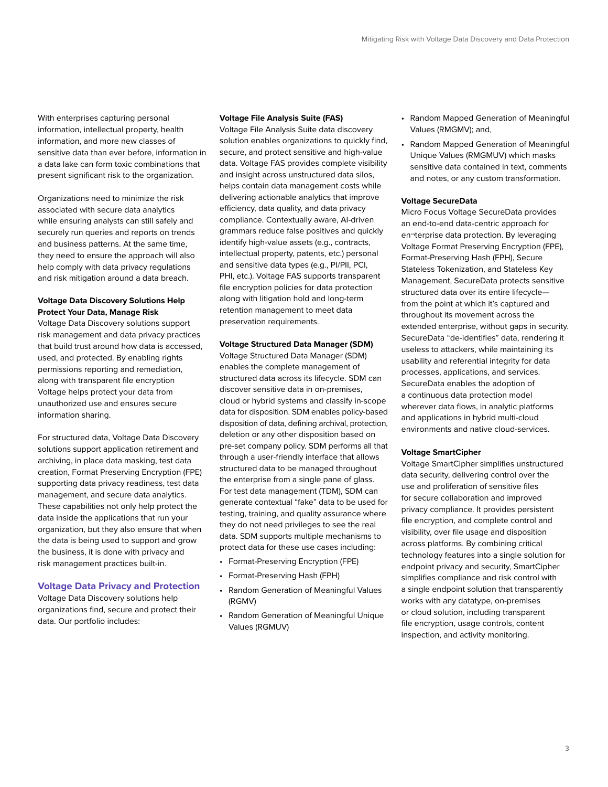With enterprises capturing personal information, intellectual property, health information, and more new classes of sensitive data than ever before, information in a data lake can form toxic combinations that present significant risk to the organization.

Organizations need to minimize the risk associated with secure data analytics while ensuring analysts can still safely and securely run queries and reports on trends and business patterns. At the same time, they need to ensure the approach will also help comply with data privacy regulations and risk mitigation around a data breach.

# **Voltage Data Discovery Solutions Help Protect Your Data, Manage Risk**

Voltage Data Discovery solutions support risk management and data privacy practices that build trust around how data is accessed, used, and protected. By enabling rights permissions reporting and remediation, along with transparent file encryption Voltage helps protect your data from unauthorized use and ensures secure information sharing.

For structured data, Voltage Data Discovery solutions support application retirement and archiving, in place data masking, test data creation, Format Preserving Encryption (FPE) supporting data privacy readiness, test data management, and secure data analytics. These capabilities not only help protect the data inside the applications that run your organization, but they also ensure that when the data is being used to support and grow the business, it is done with privacy and risk management practices built-in.

### **Voltage Data Privacy and Protection**

Voltage Data Discovery solutions help organizations find, secure and protect their data. Our portfolio includes:

#### **Voltage File Analysis Suite (FAS)**

Voltage File Analysis Suite data discovery solution enables organizations to quickly find, secure, and protect sensitive and high-value data. Voltage FAS provides complete visibility and insight across unstructured data silos, helps contain data management costs while delivering actionable analytics that improve efficiency, data quality, and data privacy compliance. Contextually aware, AI-driven grammars reduce false positives and quickly identify high-value assets (e.g., contracts, intellectual property, patents, etc.) personal and sensitive data types (e.g., PI/PII, PCI, PHI, etc.). Voltage FAS supports transparent file encryption policies for data protection along with litigation hold and long-term retention management to meet data preservation requirements.

# **Voltage Structured Data Manager (SDM)**

Voltage Structured Data Manager (SDM) enables the complete management of structured data across its lifecycle. SDM can discover sensitive data in on-premises, cloud or hybrid systems and classify in-scope data for disposition. SDM enables policy-based disposition of data, defining archival, protection, deletion or any other disposition based on pre-set company policy. SDM performs all that through a user-friendly interface that allows structured data to be managed throughout the enterprise from a single pane of glass. For test data management (TDM), SDM can generate contextual "fake" data to be used for testing, training, and quality assurance where they do not need privileges to see the real data. SDM supports multiple mechanisms to protect data for these use cases including:

- Format-Preserving Encryption (FPE)
- Format-Preserving Hash (FPH)
- Random Generation of Meaningful Values (RGMV)
- Random Generation of Meaningful Unique Values (RGMUV)
- Random Mapped Generation of Meaningful Values (RMGMV); and,
- Random Mapped Generation of Meaningful Unique Values (RMGMUV) which masks sensitive data contained in text, comments and notes, or any custom transformation.

#### **Voltage SecureData**

Micro Focus Voltage SecureData provides an end-to-end data-centric approach for en¬terprise data protection. By leveraging Voltage Format Preserving Encryption (FPE), Format-Preserving Hash (FPH), Secure Stateless Tokenization, and Stateless Key Management, SecureData protects sensitive structured data over its entire lifecycle from the point at which it's captured and throughout its movement across the extended enterprise, without gaps in security. SecureData "de-identifies" data, rendering it useless to attackers, while maintaining its usability and referential integrity for data processes, applications, and services. SecureData enables the adoption of a continuous data protection model wherever data flows, in analytic platforms and applications in hybrid multi-cloud environments and native cloud-services.

#### **Voltage SmartCipher**

Voltage SmartCipher simplifies unstructured data security, delivering control over the use and proliferation of sensitive files for secure collaboration and improved privacy compliance. It provides persistent file encryption, and complete control and visibility, over file usage and disposition across platforms. By combining critical technology features into a single solution for endpoint privacy and security, SmartCipher simplifies compliance and risk control with a single endpoint solution that transparently works with any datatype, on-premises or cloud solution, including transparent file encryption, usage controls, content inspection, and activity monitoring.